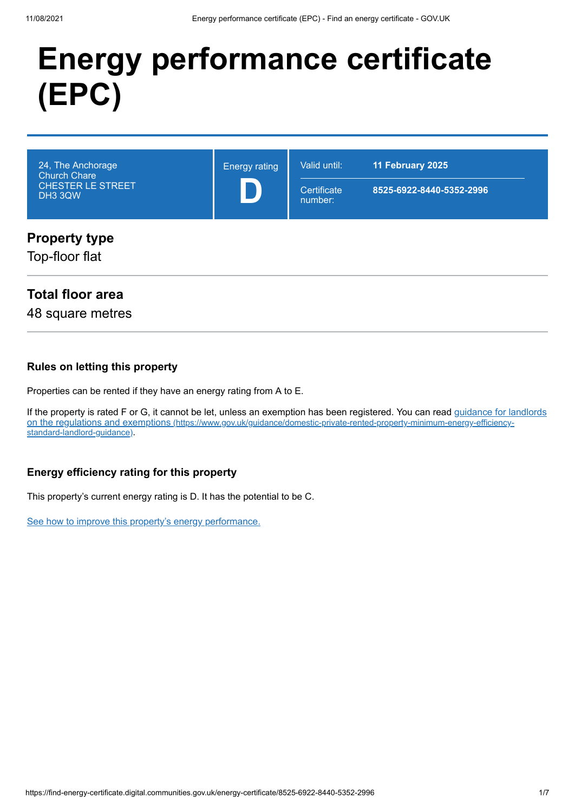## **Energy performance certificate (EPC)**

| 24, The Anchorage<br><b>Church Chare</b><br><b>CHESTER LE STREET</b><br>DH3 3QW | <b>Energy rating</b> | Valid until:<br>Certificate<br>number: | 11 February 2025<br>8525-6922-8440-5352-2996 |
|---------------------------------------------------------------------------------|----------------------|----------------------------------------|----------------------------------------------|
| <b>Property type</b><br>Top-floor flat                                          |                      |                                        |                                              |

#### **Total floor area**

48 square metres

#### **Rules on letting this property**

Properties can be rented if they have an energy rating from A to E.

[If the property is rated F or G, it cannot be let, unless an exemption has been registered. You can read guidance for landlords](https://www.gov.uk/guidance/domestic-private-rented-property-minimum-energy-efficiency-standard-landlord-guidance) on the regulations and exemptions (https://www.gov.uk/guidance/domestic-private-rented-property-minimum-energy-efficiencystandard-landlord-guidance).

#### **Energy efficiency rating for this property**

This property's current energy rating is D. It has the potential to be C.

[See how to improve this property's energy performance.](#page-3-0)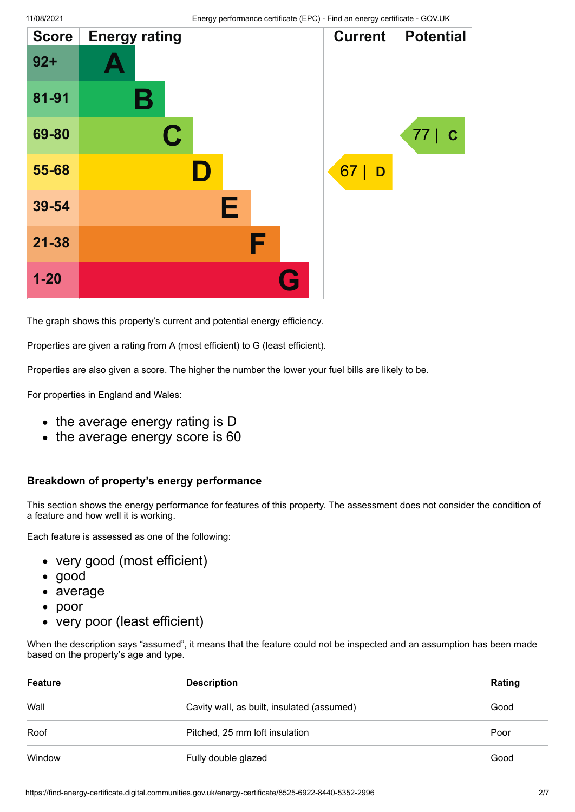| <b>Score</b> | <b>Energy rating</b> | <b>Current</b> | <b>Potential</b> |
|--------------|----------------------|----------------|------------------|
| $92 +$       |                      |                |                  |
| 81-91        | Β                    |                |                  |
| 69-80        | $\mathbf C$          |                | 77   C           |
| 55-68        | D                    | 67<br>D        |                  |
| 39-54        | Е                    |                |                  |
| $21 - 38$    | F                    |                |                  |
| $1 - 20$     | G                    |                |                  |

The graph shows this property's current and potential energy efficiency.

Properties are given a rating from A (most efficient) to G (least efficient).

Properties are also given a score. The higher the number the lower your fuel bills are likely to be.

For properties in England and Wales:

- the average energy rating is D
- the average energy score is 60

#### **Breakdown of property's energy performance**

This section shows the energy performance for features of this property. The assessment does not consider the condition of a feature and how well it is working.

Each feature is assessed as one of the following:

- very good (most efficient)
- good
- average
- poor  $\bullet$
- very poor (least efficient)

When the description says "assumed", it means that the feature could not be inspected and an assumption has been made based on the property's age and type.

| <b>Feature</b> | <b>Description</b>                         | Rating |
|----------------|--------------------------------------------|--------|
| Wall           | Cavity wall, as built, insulated (assumed) | Good   |
| Roof           | Pitched, 25 mm loft insulation             | Poor   |
| Window         | Fully double glazed                        | Good   |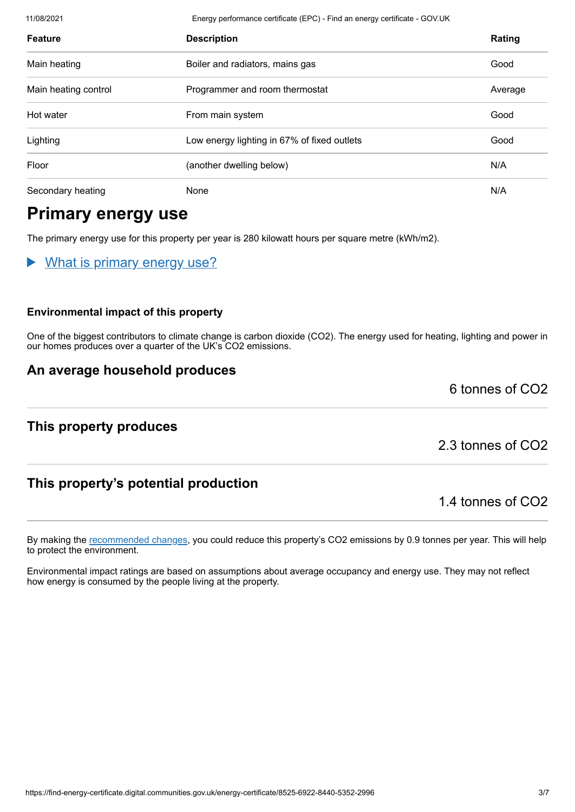11/08/2021 Energy performance certificate (EPC) - Find an energy certificate - GOV.UK **Feature Description Rating** Main heating **Boiler and radiators, mains gas** Good **Good** Main heating control **Example 20** Programmer and room thermostat **Average** Average Hot water From main system Good Lighting Low energy lighting in 67% of fixed outlets Good Floor **Example 2018** (another dwelling below) **N/A** Secondary heating None N/A

## **Primary energy use**

The primary energy use for this property per year is 280 kilowatt hours per square metre (kWh/m2).

What is primary energy use?

#### **Environmental impact of this property**

One of the biggest contributors to climate change is carbon dioxide (CO2). The energy used for heating, lighting and power in our homes produces over a quarter of the UK's CO2 emissions.

By making the [recommended changes](#page-3-0), you could reduce this property's CO2 emissions by 0.9 tonnes per year. This will help

Environmental impact ratings are based on assumptions about average occupancy and energy use. They may not reflect

#### **An average household produces**

#### **This property produces**

to protect the environment.

2.3 tonnes of CO2

1.4 tonnes of CO2

6 tonnes of CO2

#### **This property's potential production**

how energy is consumed by the people living at the property.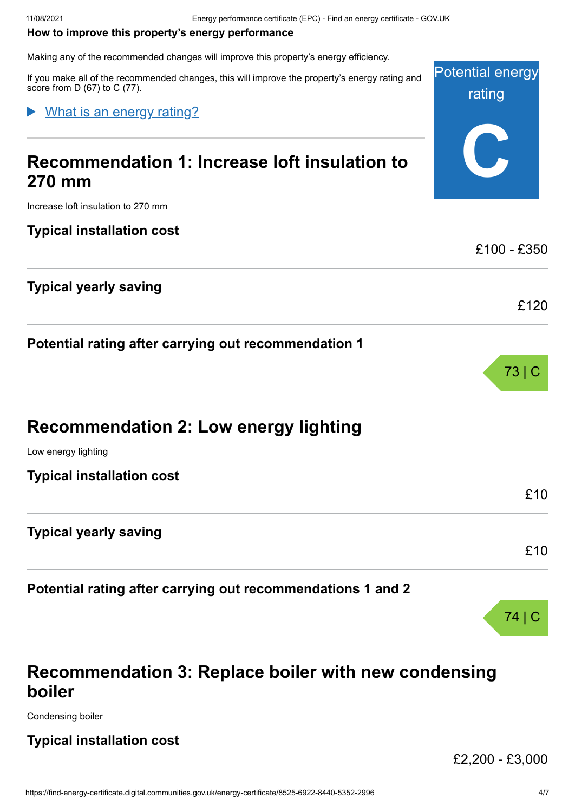#### <span id="page-3-0"></span>**How to improve this property's energy performance**

Making any of the recommended changes will improve this property's energy efficiency.

Potential energy If you make all of the recommended changes, this will improve the property's energy rating and score from D (67) to C (77).

#### What is an energy rating?

## **Recommendation 1: Increase loft insulation to 270 mm**

Increase loft insulation to 270 mm

#### **Typical installation cost**

#### **Typical yearly saving**

**Potential rating after carrying out recommendation 1**

| <b>Recommendation 2: Low energy lighting</b> |  |  |
|----------------------------------------------|--|--|
|----------------------------------------------|--|--|

Low energy lighting

**Typical installation cost**

#### **Typical yearly saving**

**Potential rating after carrying out recommendations 1 and 2**

# 74 | C

## **Recommendation 3: Replace boiler with new condensing boiler**

Condensing boiler

#### **Typical installation cost**

£2,200 - £3,000

rating

**C**

£100 - £350

£120

73 | C

£10

£10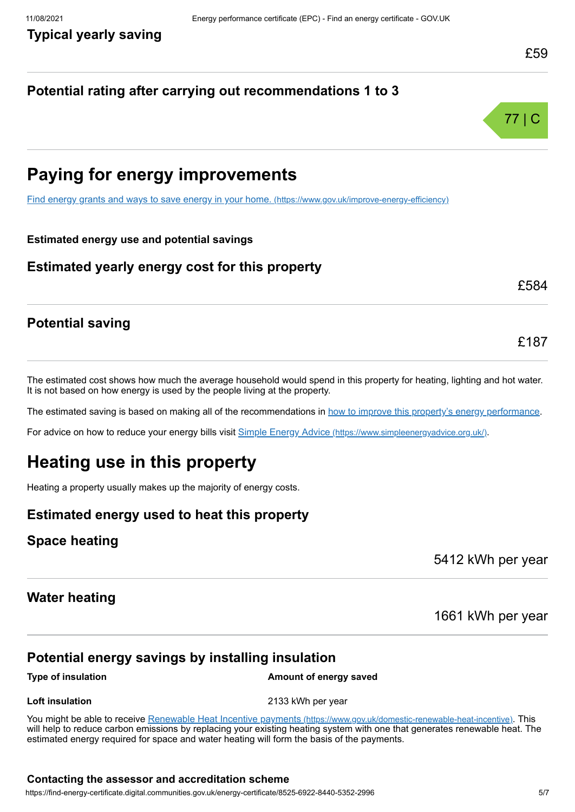#### **Potential rating after carrying out recommendations 1 to 3**



## **Paying for energy improvements**

[Find energy grants and ways to save energy in your home.](https://www.gov.uk/improve-energy-efficiency) (https://www.gov.uk/improve-energy-efficiency)

#### **Estimated energy use and potential savings**

#### **Estimated yearly energy cost for this property**

£584

£187

#### **Potential saving**

The estimated cost shows how much the average household would spend in this property for heating, lighting and hot water. It is not based on how energy is used by the people living at the property.

The estimated saving is based on making all of the recommendations in [how to improve this property's energy performance.](#page-3-0)

For advice on how to reduce your energy bills visit Simple Energy Advice [\(https://www.simpleenergyadvice.org.uk/\)](https://www.simpleenergyadvice.org.uk/).

## **Heating use in this property**

Heating a property usually makes up the majority of energy costs.

#### **Estimated energy used to heat this property**

#### **Space heating**

5412 kWh per year

#### **Water heating**

1661 kWh per year

#### **Potential energy savings by installing insulation**

**Type of insulation Amount of energy saved** 

**Loft insulation** 2133 kWh per year

You might be able to receive Renewable Heat Incentive payments [\(https://www.gov.uk/domestic-renewable-heat-incentive\)](https://www.gov.uk/domestic-renewable-heat-incentive). This will help to reduce carbon emissions by replacing your existing heating system with one that generates renewable heat. The estimated energy required for space and water heating will form the basis of the payments.

#### **Contacting the assessor and accreditation scheme**

https://find-energy-certificate.digital.communities.gov.uk/energy-certificate/8525-6922-8440-5352-2996 5/7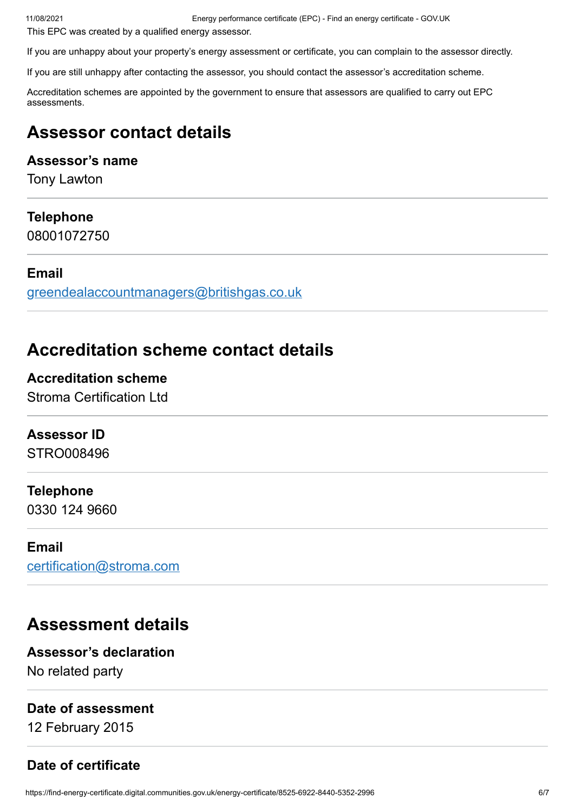11/08/2021 Energy performance certificate (EPC) - Find an energy certificate - GOV.UK

This EPC was created by a qualified energy assessor.

If you are unhappy about your property's energy assessment or certificate, you can complain to the assessor directly.

If you are still unhappy after contacting the assessor, you should contact the assessor's accreditation scheme.

Accreditation schemes are appointed by the government to ensure that assessors are qualified to carry out EPC assessments.

## **Assessor contact details**

#### **Assessor's name**

Tony Lawton

#### **Telephone**

08001072750

#### **Email**

[greendealaccountmanagers@britishgas.co.uk](mailto:greendealaccountmanagers@britishgas.co.uk)

## **Accreditation scheme contact details**

**Accreditation scheme** Stroma Certification Ltd

#### **Assessor ID**

STRO008496

#### **Telephone**

0330 124 9660

#### **Email**

[certification@stroma.com](mailto:certification@stroma.com)

### **Assessment details**

#### **Assessor's declaration**

No related party

#### **Date of assessment**

12 February 2015

#### **Date of certificate**